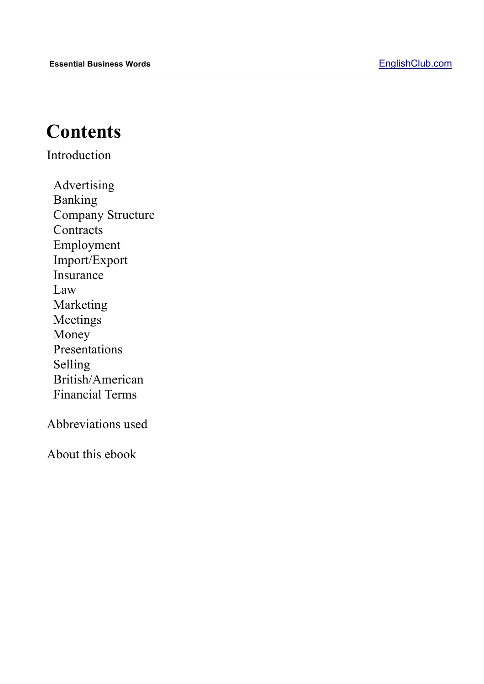#### **Contents**

Introduction

Advertising Banking Company Structure **Contracts** Employment Import/Export Insurance Law Marketing Meetings Money Presentations Selling British/American Financial Terms

Abbreviations used

About this ebook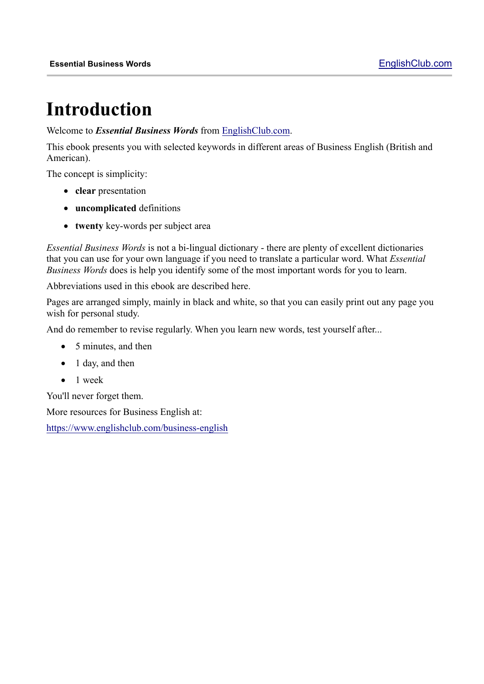## **Introduction**

Welcome to *Essential Business Words* from EnglishClub.com.

This ebook presents you with selected keywords in different areas of Business English (British and American).

The concept is simplicity:

- **clear** presentation
- **uncomplicated** definitions
- **twenty** key-words per subject area

*Essential Business Words* is not a bi-lingual dictionary - there are plenty of excellent dictionaries that you can use for your own language if you need to translate a particular word. What *Essential Business Words* does is help you identify some of the most important words for you to learn.

Abbreviations used in this ebook are described here.

Pages are arranged simply, mainly in black and white, so that you can easily print out any page you wish for personal study.

And do remember to revise regularly. When you learn new words, test yourself after...

- 5 minutes, and then
- 1 day, and then
- 1 week

You'll never forget them.

More resources for Business English at:

https://www.englishclub.com/business-english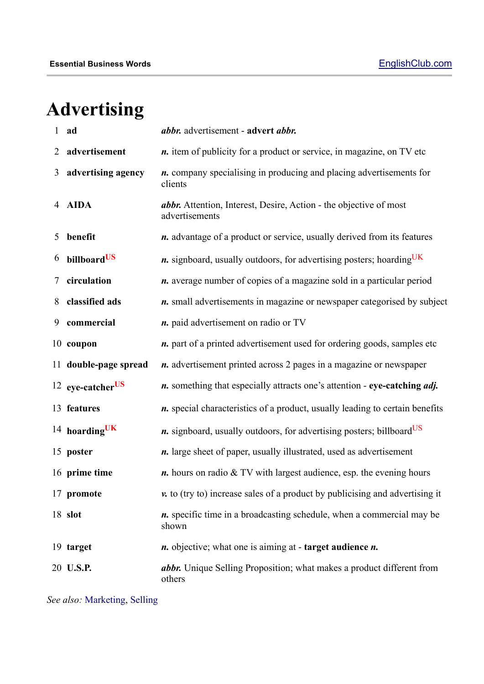# **Advertising**

| 1              | ad                           | abbr. advertisement - advert abbr.                                                         |
|----------------|------------------------------|--------------------------------------------------------------------------------------------|
| $\overline{2}$ | advertisement                | <i>n</i> . item of publicity for a product or service, in magazine, on TV etc              |
| 3              | advertising agency           | <i>n</i> . company specialising in producing and placing advertisements for<br>clients     |
| $\overline{4}$ | <b>AIDA</b>                  | <i>abbr.</i> Attention, Interest, Desire, Action - the objective of most<br>advertisements |
| 5              | benefit                      | <i>n</i> . advantage of a product or service, usually derived from its features            |
| 6              | billboardUS                  | <i>n</i> . signboard, usually outdoors, for advertising posters; hoarding <sup>UK</sup>    |
|                | circulation                  | <i>n</i> . average number of copies of a magazine sold in a particular period              |
| 8              | classified ads               | <i>n</i> . small advertisements in magazine or newspaper categorised by subject            |
| 9              | commercial                   | <i>n</i> . paid advertisement on radio or TV                                               |
|                | 10 coupon                    | <i>n</i> . part of a printed advertisement used for ordering goods, samples etc            |
|                | 11 double-page spread        | <i>n</i> . advertisement printed across 2 pages in a magazine or newspaper                 |
|                | 12 eye-catcher <sup>US</sup> | <i>n</i> . something that especially attracts one's attention - eye-catching <i>adj</i> .  |
|                | 13 features                  | <i>n</i> . special characteristics of a product, usually leading to certain benefits       |
|                | 14 hoarding $UK$             | <i>n</i> . signboard, usually outdoors, for advertising posters; billboard <sup>US</sup>   |
|                | 15 poster                    | <i>n</i> . large sheet of paper, usually illustrated, used as advertisement                |
|                | 16 prime time                | $n$ . hours on radio $& TV$ with largest audience, esp. the evening hours                  |
|                | 17 promote                   | $\nu$ to (try to) increase sales of a product by publicising and advertising it            |
|                | 18 slot                      | <i>n</i> . specific time in a broadcasting schedule, when a commercial may be<br>shown     |
|                | 19 target                    | <i>n</i> . objective; what one is aiming at - target audience <i>n</i> .                   |
|                | 20 U.S.P.                    | abbr. Unique Selling Proposition; what makes a product different from<br>others            |

*See also:* Marketing, Selling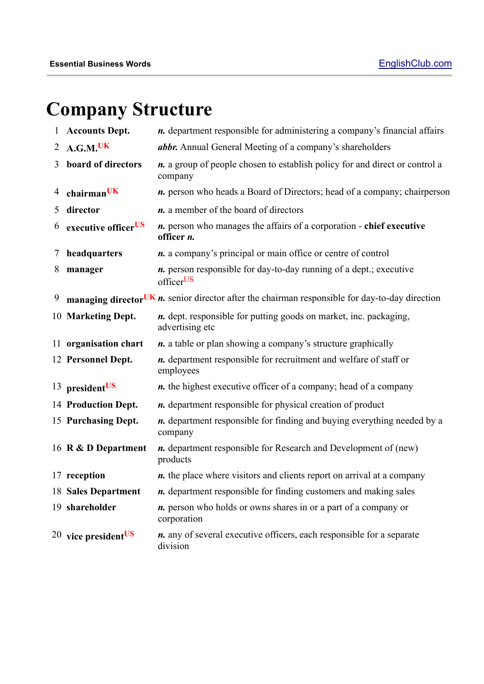# **Company Structure**

| $\mathbf{1}$ | <b>Accounts Dept.</b>             | <i>n</i> . department responsible for administering a company's financial affairs                  |
|--------------|-----------------------------------|----------------------------------------------------------------------------------------------------|
|              | 2 A.G.M. <sup>UK</sup>            | abbr. Annual General Meeting of a company's shareholders                                           |
| 3            | board of directors                | <i>n</i> . a group of people chosen to establish policy for and direct or control a<br>company     |
| 4            | chairmanUK                        | <i>n</i> . person who heads a Board of Directors; head of a company; chairperson                   |
| 5            | director                          | <i>n</i> . a member of the board of directors                                                      |
| 6            | executive officer <sup>US</sup>   | <i>n</i> . person who manages the affairs of a corporation - chief executive<br>officer <i>n</i> . |
| 7            | headquarters                      | <i>n</i> . a company's principal or main office or centre of control                               |
| 8            | manager                           | <i>n</i> . person responsible for day-to-day running of a dept.; executive<br>officerUS            |
| 9            |                                   | managing director UK $n$ , senior director after the chairman responsible for day-to-day direction |
|              | 10 Marketing Dept.                | <i>n</i> . dept. responsible for putting goods on market, inc. packaging,<br>advertising etc       |
|              | 11 organisation chart             | <i>n</i> . a table or plan showing a company's structure graphically                               |
|              | 12 Personnel Dept.                | <i>n</i> . department responsible for recruitment and welfare of staff or<br>employees             |
|              | 13 president <sup>US</sup>        | <i>n</i> . the highest executive officer of a company; head of a company                           |
|              | 14 Production Dept.               | <i>n</i> . department responsible for physical creation of product                                 |
|              | 15 Purchasing Dept.               | <i>n</i> . department responsible for finding and buying everything needed by a<br>company         |
|              | 16 R & D Department               | <i>n</i> . department responsible for Research and Development of (new)<br>products                |
|              | 17 reception                      | <i>n</i> . the place where visitors and clients report on arrival at a company                     |
|              |                                   | 18 Sales Department <i>n</i> . department responsible for finding customers and making sales       |
|              | 19 shareholder                    | <i>n</i> . person who holds or owns shares in or a part of a company or<br>corporation             |
|              | $20$ vice president <sup>US</sup> | <i>n</i> . any of several executive officers, each responsible for a separate<br>division          |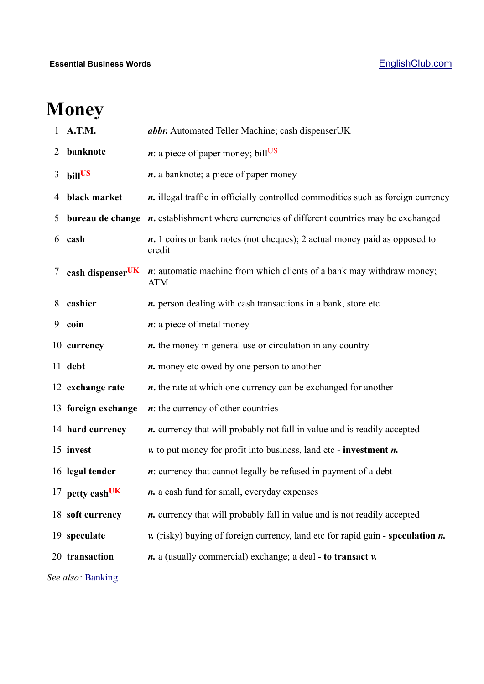# **Money**

|   | A.T.M.                       | abbr. Automated Teller Machine; cash dispenserUK                                                                  |
|---|------------------------------|-------------------------------------------------------------------------------------------------------------------|
| 2 | banknote                     | $\boldsymbol{n}$ : a piece of paper money; bill <sup>US</sup>                                                     |
| 3 | billUS                       | $n$ . a banknote; a piece of paper money                                                                          |
| 4 | black market                 | <i>n</i> . illegal traffic in officially controlled commodities such as foreign currency                          |
| 5 |                              | <b>bureau de change</b> $\boldsymbol{n}$ , establishment where currencies of different countries may be exchanged |
| 6 | cash                         | <i>n</i> . 1 coins or bank notes (not cheques); 2 actual money paid as opposed to<br>credit                       |
| 7 | cash dispenser <sup>UK</sup> | $\boldsymbol{n}$ : automatic machine from which clients of a bank may withdraw money;<br><b>ATM</b>               |
| 8 | cashier                      | n. person dealing with cash transactions in a bank, store etc                                                     |
| 9 | coin                         | $\boldsymbol{n}$ : a piece of metal money                                                                         |
|   | 10 currency                  | <i>n</i> . the money in general use or circulation in any country                                                 |
|   | 11 debt                      | <i>n</i> . money etc owed by one person to another                                                                |
|   | 12 exchange rate             | <i>n</i> . the rate at which one currency can be exchanged for another                                            |
|   | 13 foreign exchange          | $\boldsymbol{n}$ : the currency of other countries                                                                |
|   | 14 hard currency             | <i>n</i> . currency that will probably not fall in value and is readily accepted                                  |
|   | 15 invest                    | $\nu$ , to put money for profit into business, land etc - investment $n$ .                                        |
|   | 16 legal tender              | $\boldsymbol{n}$ : currency that cannot legally be refused in payment of a debt                                   |
|   | 17 petty cash <sup>UK</sup>  | <i>n</i> . a cash fund for small, everyday expenses                                                               |
|   | 18 soft currency             | <i>n</i> . currency that will probably fall in value and is not readily accepted                                  |
|   | 19 speculate                 | $\mathbf{v}$ . (risky) buying of foreign currency, land etc for rapid gain - speculation $\mathbf{n}$ .           |
|   | 20 transaction               | $\boldsymbol{n}$ . a (usually commercial) exchange; a deal - to transact $\boldsymbol{\nu}$ .                     |
|   | See also: Banking            |                                                                                                                   |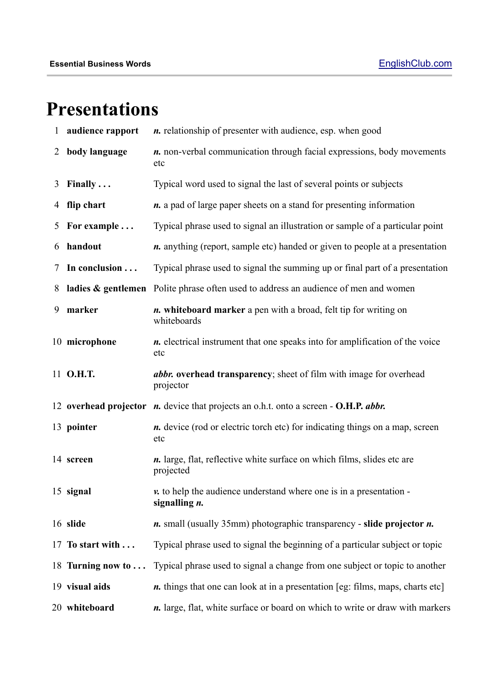## **Presentations**

| $\mathbf{1}$   | audience rapport  | <i>n</i> . relationship of presenter with audience, esp. when good                              |
|----------------|-------------------|-------------------------------------------------------------------------------------------------|
| $\overline{2}$ | body language     | <i>n</i> . non-verbal communication through facial expressions, body movements<br>etc           |
| 3              | Finally $\ldots$  | Typical word used to signal the last of several points or subjects                              |
|                | 4 flip chart      | <i>n</i> . a pad of large paper sheets on a stand for presenting information                    |
| 5              | For example       | Typical phrase used to signal an illustration or sample of a particular point                   |
| 6              | handout           | <i>n</i> . anything (report, sample etc) handed or given to people at a presentation            |
| 7              | In conclusion     | Typical phrase used to signal the summing up or final part of a presentation                    |
| 8              |                   | ladies & gentlemen Polite phrase often used to address an audience of men and women             |
| 9              | marker            | <i>n</i> . whiteboard marker a pen with a broad, felt tip for writing on<br>whiteboards         |
|                | 10 microphone     | <i>n</i> . electrical instrument that one speaks into for amplification of the voice<br>etc     |
|                | 11 O.H.T.         | <i>abbr.</i> overhead transparency; sheet of film with image for overhead<br>projector          |
|                |                   | 12 overhead projector <i>n</i> . device that projects an o.h.t. onto a screen - O.H.P. abbr.    |
|                | 13 pointer        | <i>n</i> . device (rod or electric torch etc) for indicating things on a map, screen<br>etc     |
|                | 14 screen         | <i>n</i> . large, flat, reflective white surface on which films, slides etc are<br>projected    |
|                | 15 signal         | $\nu$ to help the audience understand where one is in a presentation -<br>signalling <i>n</i> . |
|                | 16 slide          | $n.$ small (usually 35mm) photographic transparency - slide projector $n.$                      |
|                | 17 To start with  | Typical phrase used to signal the beginning of a particular subject or topic                    |
|                | 18 Turning now to | Typical phrase used to signal a change from one subject or topic to another                     |
|                |                   |                                                                                                 |
|                | 19 visual aids    | <i>n</i> . things that one can look at in a presentation [eg: films, maps, charts etc]          |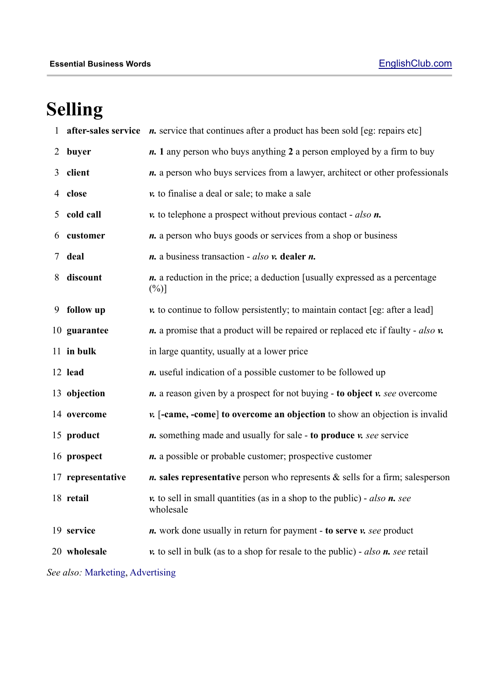# **Selling**

| 1                                |                   | <b>after-sales service</b> $\boldsymbol{n}$ , service that continues after a product has been sold [eg: repairs etc] |
|----------------------------------|-------------------|----------------------------------------------------------------------------------------------------------------------|
| 2                                | buyer             | <i>n</i> . 1 any person who buys anything 2 a person employed by a firm to buy                                       |
| 3                                | client            | <i>n</i> . a person who buys services from a lawyer, architect or other professionals                                |
| 4                                | close             | v. to finalise a deal or sale; to make a sale                                                                        |
| 5                                | cold call         | $\nu$ to telephone a prospect without previous contact - also $n$ .                                                  |
| 6                                | customer          | <i>n</i> . a person who buys goods or services from a shop or business                                               |
| 7                                | deal              | $n$ . a business transaction - <i>also</i> $v$ . dealer $n$ .                                                        |
| 8                                | discount          | <i>n</i> . a reduction in the price; a deduction [usually expressed as a percentage<br>$(\%)]$                       |
| 9                                | follow up         | $\nu$ to continue to follow persistently; to maintain contact [eg: after a lead]                                     |
|                                  | 10 guarantee      | $\boldsymbol{n}$ , a promise that a product will be repaired or replaced etc if faulty - also $\boldsymbol{v}$ .     |
|                                  | 11 in bulk        | in large quantity, usually at a lower price                                                                          |
|                                  | 12 lead           | <i>n</i> . useful indication of a possible customer to be followed up                                                |
|                                  | 13 objection      | <i>n</i> . a reason given by a prospect for not buying - to object <i>v</i> . see overcome                           |
|                                  | 14 overcome       | v. [-came, -come] to overcome an objection to show an objection is invalid                                           |
|                                  | 15 product        | <i>n</i> . something made and usually for sale - to produce <i>v</i> . see service                                   |
|                                  | 16 prospect       | <i>n</i> . a possible or probable customer; prospective customer                                                     |
|                                  | 17 representative | $n$ . sales representative person who represents $&$ sells for a firm; salesperson                                   |
|                                  | 18 retail         | $\nu$ , to sell in small quantities (as in a shop to the public) - <i>also</i> $n$ , see<br>wholesale                |
|                                  | 19 service        | <i>n</i> . work done usually in return for payment - to serve <i>v</i> . see product                                 |
|                                  | 20 wholesale      | $\nu$ to sell in bulk (as to a shop for resale to the public) - also $n$ . see retail                                |
| See also: Marketing, Advertising |                   |                                                                                                                      |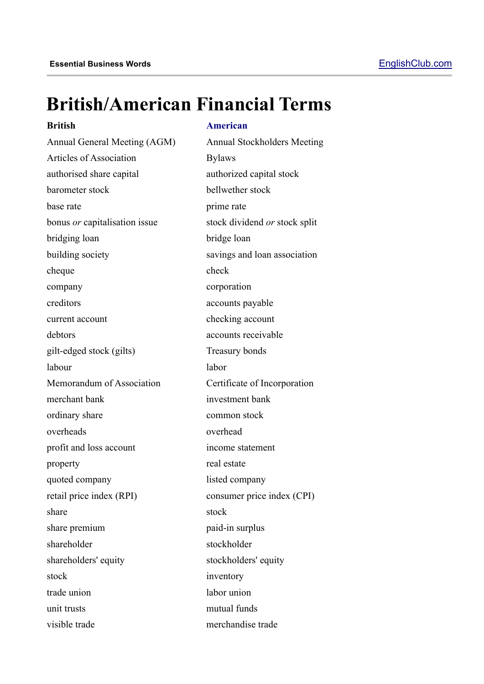## **British/American Financial Terms**

#### **British American**

Annual General Meeting (AGM) Annual Stockholders Meeting Articles of Association Bylaws authorised share capital authorized capital stock barometer stock bellwether stock base rate prime rate bonus *or* capitalisation issue stock dividend *or* stock split bridging loan bridge loan building society savings and loan association cheque check company corporation creditors accounts payable current account checking account debtors accounts receivable gilt-edged stock (gilts) Treasury bonds labour labor Memorandum of Association Certificate of Incorporation merchant bank investment bank ordinary share common stock overheads overhead profit and loss account income statement property real estate quoted company listed company retail price index (RPI) consumer price index (CPI) share stock stock share premium paid-in surplus shareholder stockholder shareholders' equity stockholders' equity stock inventory trade union labor union unit trusts mutual funds visible trade merchandise trade